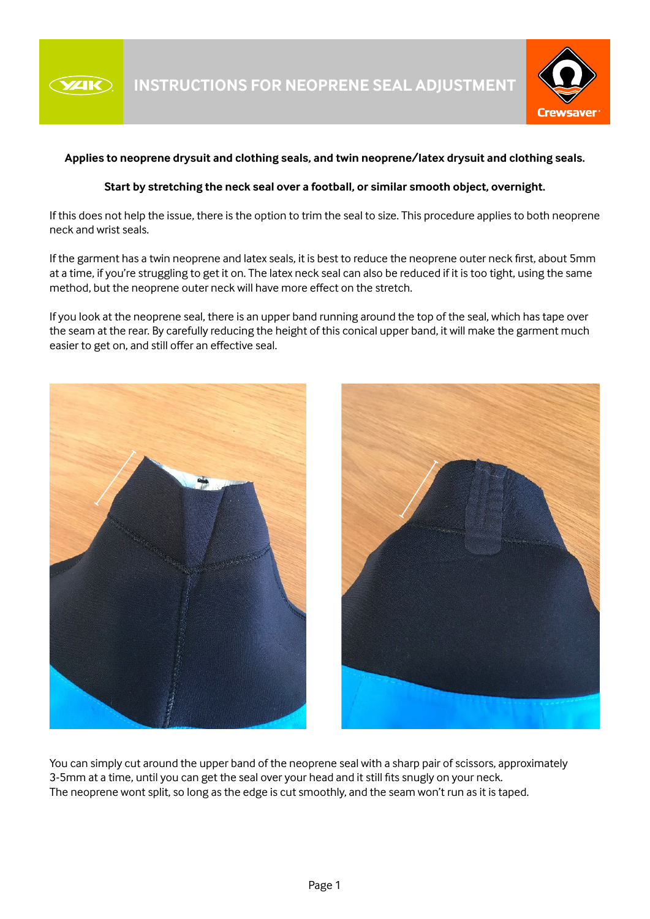



## **Applies to neoprene drysuit and clothing seals, and twin neoprene/latex drysuit and clothing seals.**

## **Start by stretching the neck seal over a football, or similar smooth object, overnight.**

If this does not help the issue, there is the option to trim the seal to size. This procedure applies to both neoprene neck and wrist seals.

If the garment has a twin neoprene and latex seals, it is best to reduce the neoprene outer neck first, about 5mm at a time, if you're struggling to get it on. The latex neck seal can also be reduced if it is too tight, using the same method, but the neoprene outer neck will have more effect on the stretch.

If you look at the neoprene seal, there is an upper band running around the top of the seal, which has tape over the seam at the rear. By carefully reducing the height of this conical upper band, it will make the garment much easier to get on, and still offer an effective seal.



You can simply cut around the upper band of the neoprene seal with a sharp pair of scissors, approximately 3-5mm at a time, until you can get the seal over your head and it still fits snugly on your neck. The neoprene wont split, so long as the edge is cut smoothly, and the seam won't run as it is taped.